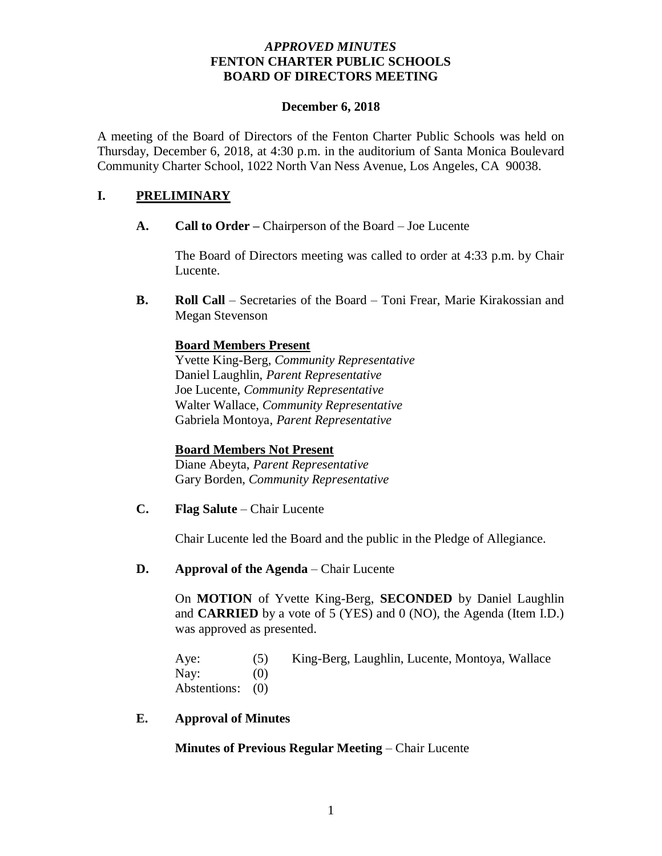# *APPROVED MINUTES* **FENTON CHARTER PUBLIC SCHOOLS BOARD OF DIRECTORS MEETING**

## **December 6, 2018**

A meeting of the Board of Directors of the Fenton Charter Public Schools was held on Thursday, December 6, 2018, at 4:30 p.m. in the auditorium of Santa Monica Boulevard Community Charter School, 1022 North Van Ness Avenue, Los Angeles, CA 90038.

# **I. PRELIMINARY**

**A. Call to Order –** Chairperson of the Board – Joe Lucente

The Board of Directors meeting was called to order at 4:33 p.m. by Chair Lucente.

**B. Roll Call** – Secretaries of the Board – Toni Frear, Marie Kirakossian and Megan Stevenson

## **Board Members Present**

Yvette King-Berg, *Community Representative* Daniel Laughlin, *Parent Representative* Joe Lucente, *Community Representative* Walter Wallace, *Community Representative* Gabriela Montoya, *Parent Representative*

## **Board Members Not Present**

Diane Abeyta, *Parent Representative* Gary Borden, *Community Representative*

**C. Flag Salute** – Chair Lucente

Chair Lucente led the Board and the public in the Pledge of Allegiance.

## **D. Approval of the Agenda** – Chair Lucente

On **MOTION** of Yvette King-Berg, **SECONDED** by Daniel Laughlin and **CARRIED** by a vote of 5 (YES) and 0 (NO), the Agenda (Item I.D.) was approved as presented.

Aye: (5) King-Berg, Laughlin, Lucente, Montoya, Wallace Nav:  $(0)$ Abstentions: (0)

## **E. Approval of Minutes**

**Minutes of Previous Regular Meeting** – Chair Lucente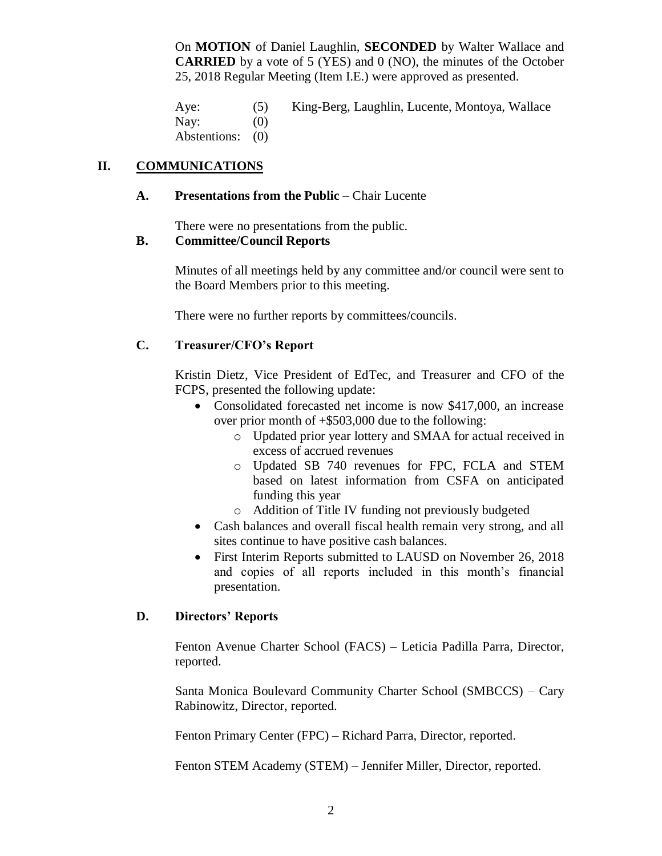On **MOTION** of Daniel Laughlin, **SECONDED** by Walter Wallace and **CARRIED** by a vote of 5 (YES) and 0 (NO), the minutes of the October 25, 2018 Regular Meeting (Item I.E.) were approved as presented.

Aye: (5) King-Berg, Laughlin, Lucente, Montoya, Wallace Nay:  $(0)$ Abstentions: (0)

# **II. COMMUNICATIONS**

## **A. Presentations from the Public** – Chair Lucente

There were no presentations from the public.

# **B. Committee/Council Reports**

Minutes of all meetings held by any committee and/or council were sent to the Board Members prior to this meeting.

There were no further reports by committees/councils.

# **C. Treasurer/CFO's Report**

Kristin Dietz, Vice President of EdTec, and Treasurer and CFO of the FCPS, presented the following update:

- Consolidated forecasted net income is now \$417,000, an increase over prior month of +\$503,000 due to the following:
	- o Updated prior year lottery and SMAA for actual received in excess of accrued revenues
	- o Updated SB 740 revenues for FPC, FCLA and STEM based on latest information from CSFA on anticipated funding this year
	- o Addition of Title IV funding not previously budgeted
- Cash balances and overall fiscal health remain very strong, and all sites continue to have positive cash balances.
- First Interim Reports submitted to LAUSD on November 26, 2018 and copies of all reports included in this month's financial presentation.

# **D. Directors' Reports**

Fenton Avenue Charter School (FACS) – Leticia Padilla Parra, Director, reported.

Santa Monica Boulevard Community Charter School (SMBCCS) – Cary Rabinowitz, Director, reported.

Fenton Primary Center (FPC) – Richard Parra, Director, reported.

Fenton STEM Academy (STEM) – Jennifer Miller, Director, reported.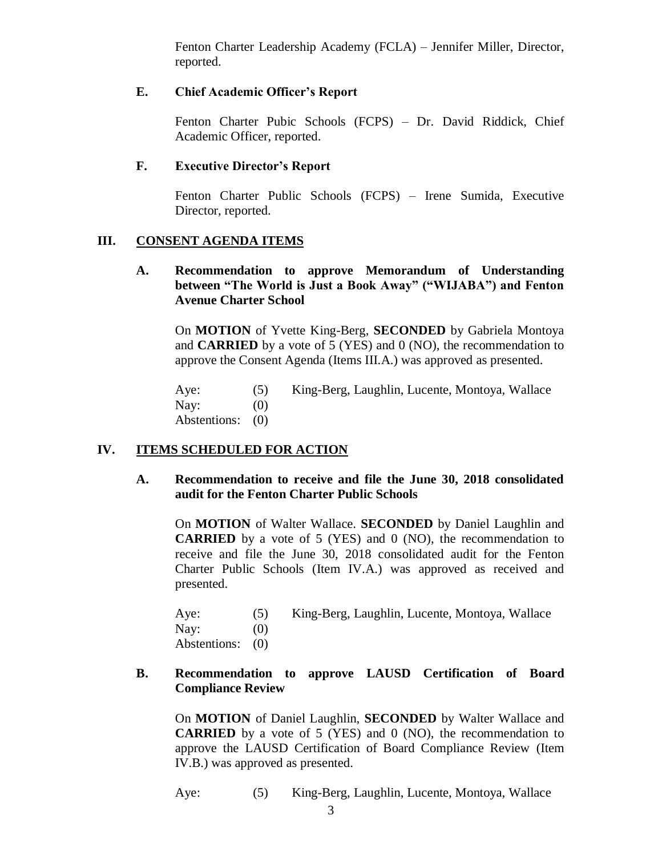Fenton Charter Leadership Academy (FCLA) – Jennifer Miller, Director, reported.

# **E. Chief Academic Officer's Report**

Fenton Charter Pubic Schools (FCPS) – Dr. David Riddick, Chief Academic Officer, reported.

# **F. Executive Director's Report**

Fenton Charter Public Schools (FCPS) – Irene Sumida, Executive Director, reported.

# **III. CONSENT AGENDA ITEMS**

**A. Recommendation to approve Memorandum of Understanding between "The World is Just a Book Away" ("WIJABA") and Fenton Avenue Charter School**

On **MOTION** of Yvette King-Berg, **SECONDED** by Gabriela Montoya and **CARRIED** by a vote of 5 (YES) and 0 (NO), the recommendation to approve the Consent Agenda (Items III.A.) was approved as presented.

Aye: (5) King-Berg, Laughlin, Lucente, Montoya, Wallace Nay:  $(0)$ Abstentions: (0)

# **IV. ITEMS SCHEDULED FOR ACTION**

## **A. Recommendation to receive and file the June 30, 2018 consolidated audit for the Fenton Charter Public Schools**

On **MOTION** of Walter Wallace. **SECONDED** by Daniel Laughlin and **CARRIED** by a vote of 5 (YES) and 0 (NO), the recommendation to receive and file the June 30, 2018 consolidated audit for the Fenton Charter Public Schools (Item IV.A.) was approved as received and presented.

| Aye:             | (5) | King-Berg, Laughlin, Lucente, Montoya, Wallace |
|------------------|-----|------------------------------------------------|
| Nay:             | (0) |                                                |
| Abstentions: (0) |     |                                                |

## **B. Recommendation to approve LAUSD Certification of Board Compliance Review**

On **MOTION** of Daniel Laughlin, **SECONDED** by Walter Wallace and **CARRIED** by a vote of 5 (YES) and 0 (NO), the recommendation to approve the LAUSD Certification of Board Compliance Review (Item IV.B.) was approved as presented.

Aye: (5) King-Berg, Laughlin, Lucente, Montoya, Wallace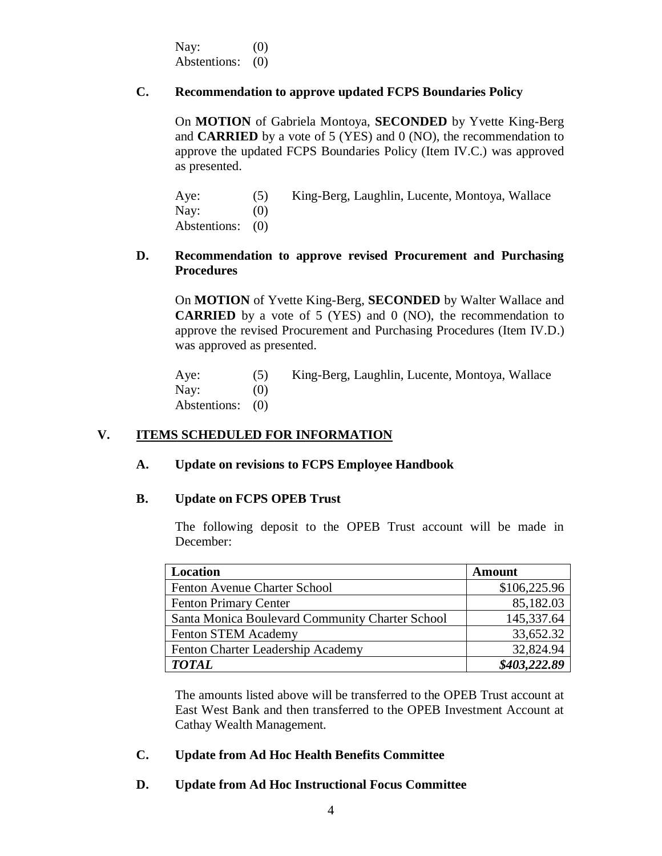Nay:  $(0)$ Abstentions: (0)

# **C. Recommendation to approve updated FCPS Boundaries Policy**

On **MOTION** of Gabriela Montoya, **SECONDED** by Yvette King-Berg and **CARRIED** by a vote of 5 (YES) and 0 (NO), the recommendation to approve the updated FCPS Boundaries Policy (Item IV.C.) was approved as presented.

| Aye:             | (5) | King-Berg, Laughlin, Lucente, Montoya, Wallace |
|------------------|-----|------------------------------------------------|
| Nay:             | (0) |                                                |
| Abstentions: (0) |     |                                                |

# **D. Recommendation to approve revised Procurement and Purchasing Procedures**

On **MOTION** of Yvette King-Berg, **SECONDED** by Walter Wallace and **CARRIED** by a vote of 5 (YES) and 0 (NO), the recommendation to approve the revised Procurement and Purchasing Procedures (Item IV.D.) was approved as presented.

Aye: (5) King-Berg, Laughlin, Lucente, Montoya, Wallace Nay:  $(0)$ Abstentions: (0)

# **V. ITEMS SCHEDULED FOR INFORMATION**

## **A. Update on revisions to FCPS Employee Handbook**

## **B. Update on FCPS OPEB Trust**

The following deposit to the OPEB Trust account will be made in December:

| Location                                        | Amount       |
|-------------------------------------------------|--------------|
| Fenton Avenue Charter School                    | \$106,225.96 |
| <b>Fenton Primary Center</b>                    | 85,182.03    |
| Santa Monica Boulevard Community Charter School | 145,337.64   |
| <b>Fenton STEM Academy</b>                      | 33,652.32    |
| Fenton Charter Leadership Academy               | 32,824.94    |
| <b>TOTAL</b>                                    | \$403,222.89 |

The amounts listed above will be transferred to the OPEB Trust account at East West Bank and then transferred to the OPEB Investment Account at Cathay Wealth Management.

## **C. Update from Ad Hoc Health Benefits Committee**

## **D. Update from Ad Hoc Instructional Focus Committee**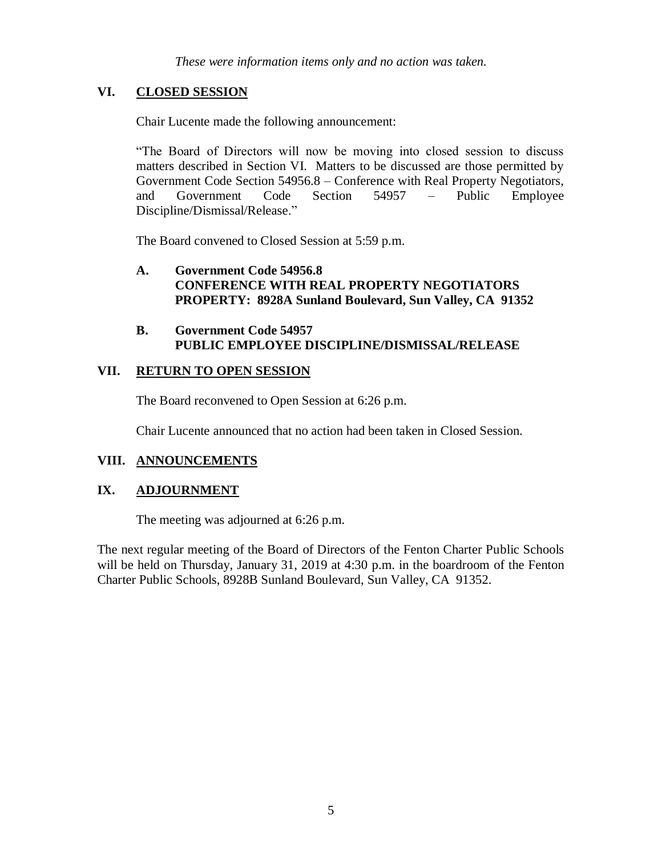*These were information items only and no action was taken.*

# **VI. CLOSED SESSION**

Chair Lucente made the following announcement:

"The Board of Directors will now be moving into closed session to discuss matters described in Section VI. Matters to be discussed are those permitted by Government Code Section 54956.8 – Conference with Real Property Negotiators, and Government Code Section 54957 – Public Employee Discipline/Dismissal/Release."

The Board convened to Closed Session at 5:59 p.m.

# **A. Government Code 54956.8 CONFERENCE WITH REAL PROPERTY NEGOTIATORS PROPERTY: 8928A Sunland Boulevard, Sun Valley, CA 91352**

## **B. Government Code 54957 PUBLIC EMPLOYEE DISCIPLINE/DISMISSAL/RELEASE**

# **VII. RETURN TO OPEN SESSION**

The Board reconvened to Open Session at 6:26 p.m.

Chair Lucente announced that no action had been taken in Closed Session.

# **VIII. ANNOUNCEMENTS**

# **IX. ADJOURNMENT**

The meeting was adjourned at 6:26 p.m.

The next regular meeting of the Board of Directors of the Fenton Charter Public Schools will be held on Thursday, January 31, 2019 at 4:30 p.m. in the boardroom of the Fenton Charter Public Schools, 8928B Sunland Boulevard, Sun Valley, CA 91352.